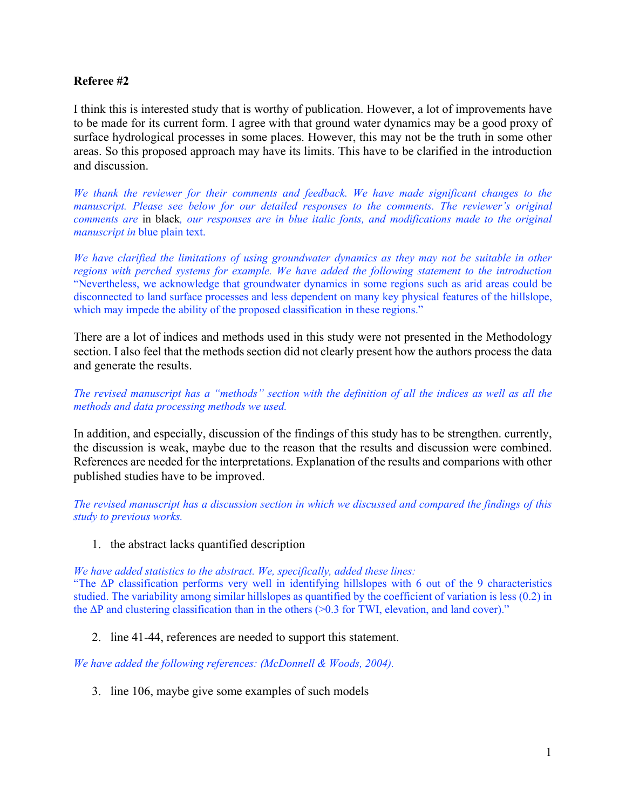## **Referee #2**

I think this is interested study that is worthy of publication. However, a lot of improvements have to be made for its current form. I agree with that ground water dynamics may be a good proxy of surface hydrological processes in some places. However, this may not be the truth in some other areas. So this proposed approach may have its limits. This have to be clarified in the introduction and discussion.

*We thank the reviewer for their comments and feedback. We have made significant changes to the manuscript. Please see below for our detailed responses to the comments. The reviewer's original comments are* in black*, our responses are in blue italic fonts, and modifications made to the original manuscript in* blue plain text.

*We have clarified the limitations of using groundwater dynamics as they may not be suitable in other regions with perched systems for example. We have added the following statement to the introduction*  "Nevertheless, we acknowledge that groundwater dynamics in some regions such as arid areas could be disconnected to land surface processes and less dependent on many key physical features of the hillslope, which may impede the ability of the proposed classification in these regions."

There are a lot of indices and methods used in this study were not presented in the Methodology section. I also feel that the methods section did not clearly present how the authors process the data and generate the results.

*The revised manuscript has a "methods" section with the definition of all the indices as well as all the methods and data processing methods we used.* 

In addition, and especially, discussion of the findings of this study has to be strengthen. currently, the discussion is weak, maybe due to the reason that the results and discussion were combined. References are needed for the interpretations. Explanation of the results and comparions with other published studies have to be improved.

*The revised manuscript has a discussion section in which we discussed and compared the findings of this study to previous works.* 

1. the abstract lacks quantified description

*We have added statistics to the abstract. We, specifically, added these lines:*

"The ΔP classification performs very well in identifying hillslopes with 6 out of the 9 characteristics studied. The variability among similar hillslopes as quantified by the coefficient of variation is less (0.2) in the  $\Delta P$  and clustering classification than in the others (>0.3 for TWI, elevation, and land cover)."

2. line 41-44, references are needed to support this statement.

*We have added the following references: (McDonnell & Woods, 2004).*

3. line 106, maybe give some examples of such models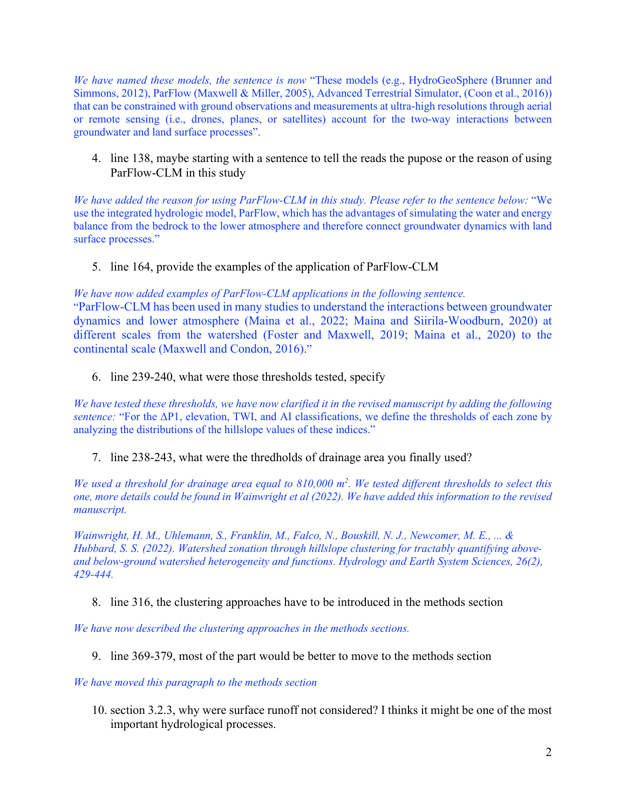*We have named these models, the sentence is now* "These models (e.g., HydroGeoSphere (Brunner and Simmons, 2012), ParFlow (Maxwell & Miller, 2005), Advanced Terrestrial Simulator, (Coon et al., 2016)) that can be constrained with ground observations and measurements at ultra-high resolutions through aerial or remote sensing (i.e., drones, planes, or satellites) account for the two-way interactions between groundwater and land surface processes".

4. line 138, maybe starting with a sentence to tell the reads the pupose or the reason of using ParFlow-CLM in this study

*We have added the reason for using ParFlow-CLM in this study. Please refer to the sentence below:* "We use the integrated hydrologic model, ParFlow, which has the advantages of simulating the water and energy balance from the bedrock to the lower atmosphere and therefore connect groundwater dynamics with land surface processes."

5. line 164, provide the examples of the application of ParFlow-CLM

*We have now added examples of ParFlow-CLM applications in the following sentence.* "ParFlow-CLM has been used in many studies to understand the interactions between groundwater dynamics and lower atmosphere (Maina et al., 2022; Maina and Siirila-Woodburn, 2020) at different scales from the watershed (Foster and Maxwell, 2019; Maina et al., 2020) to the continental scale (Maxwell and Condon, 2016)."

6. line 239-240, what were those thresholds tested, specify

*We have tested these thresholds, we have now clarified it in the revised manuscript by adding the following sentence:* "For the ΔP1, elevation, TWI, and AI classifications, we define the thresholds of each zone by analyzing the distributions of the hillslope values of these indices."

7. line 238-243, what were the thredholds of drainage area you finally used?

*We used a threshold for drainage area equal to 810,000 m<sup>2</sup> . We tested different thresholds to select this one, more details could be found in Wainwright et al (2022). We have added this information to the revised manuscript.*

*Wainwright, H. M., Uhlemann, S., Franklin, M., Falco, N., Bouskill, N. J., Newcomer, M. E., ... & Hubbard, S. S. (2022). Watershed zonation through hillslope clustering for tractably quantifying aboveand below-ground watershed heterogeneity and functions. Hydrology and Earth System Sciences, 26(2), 429-444.*

8. line 316, the clustering approaches have to be introduced in the methods section

*We have now described the clustering approaches in the methods sections.*

9. line 369-379, most of the part would be better to move to the methods section

*We have moved this paragraph to the methods section*

10. section 3.2.3, why were surface runoff not considered? I thinks it might be one of the most important hydrological processes.